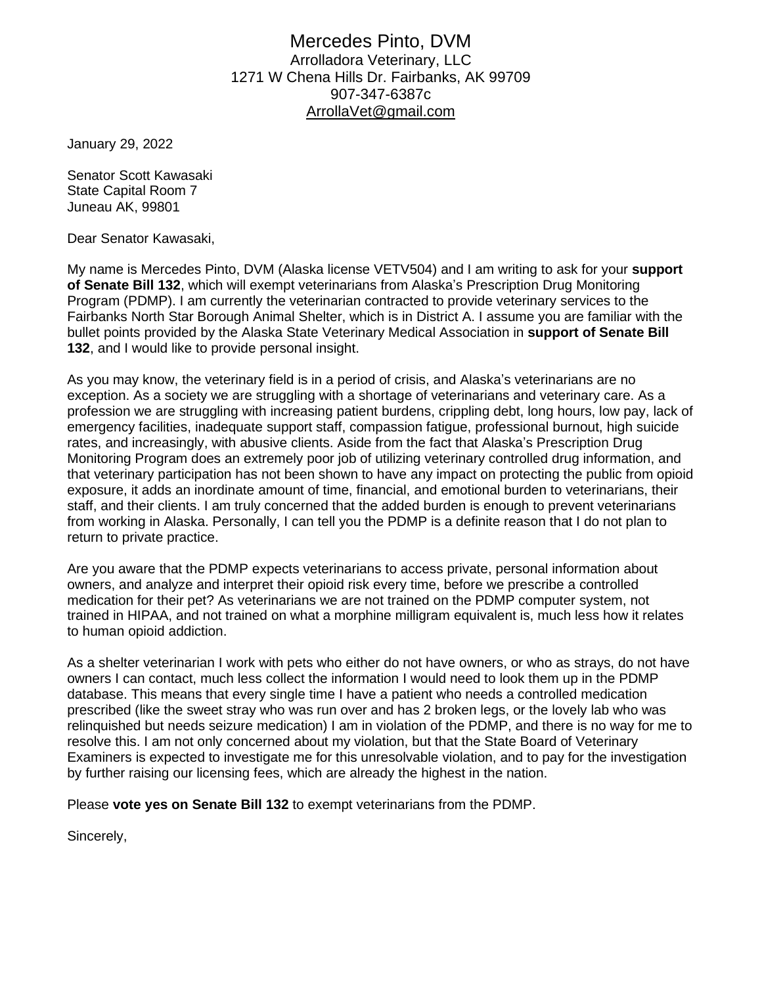## Mercedes Pinto, DVM Arrolladora Veterinary, LLC 1271 W Chena Hills Dr. Fairbanks, AK 99709 907-347-6387c [ArrollaVet@gmail.com](mailto:ArrollaVet@gmail.com)

January 29, 2022

Senator Scott Kawasaki State Capital Room 7 Juneau AK, 99801

Dear Senator Kawasaki,

My name is Mercedes Pinto, DVM (Alaska license VETV504) and I am writing to ask for your **support of Senate Bill 132**, which will exempt veterinarians from Alaska's Prescription Drug Monitoring Program (PDMP). I am currently the veterinarian contracted to provide veterinary services to the Fairbanks North Star Borough Animal Shelter, which is in District A. I assume you are familiar with the bullet points provided by the Alaska State Veterinary Medical Association in **support of Senate Bill 132**, and I would like to provide personal insight.

As you may know, the veterinary field is in a period of crisis, and Alaska's veterinarians are no exception. As a society we are struggling with a shortage of veterinarians and veterinary care. As a profession we are struggling with increasing patient burdens, crippling debt, long hours, low pay, lack of emergency facilities, inadequate support staff, compassion fatigue, professional burnout, high suicide rates, and increasingly, with abusive clients. Aside from the fact that Alaska's Prescription Drug Monitoring Program does an extremely poor job of utilizing veterinary controlled drug information, and that veterinary participation has not been shown to have any impact on protecting the public from opioid exposure, it adds an inordinate amount of time, financial, and emotional burden to veterinarians, their staff, and their clients. I am truly concerned that the added burden is enough to prevent veterinarians from working in Alaska. Personally, I can tell you the PDMP is a definite reason that I do not plan to return to private practice.

Are you aware that the PDMP expects veterinarians to access private, personal information about owners, and analyze and interpret their opioid risk every time, before we prescribe a controlled medication for their pet? As veterinarians we are not trained on the PDMP computer system, not trained in HIPAA, and not trained on what a morphine milligram equivalent is, much less how it relates to human opioid addiction.

As a shelter veterinarian I work with pets who either do not have owners, or who as strays, do not have owners I can contact, much less collect the information I would need to look them up in the PDMP database. This means that every single time I have a patient who needs a controlled medication prescribed (like the sweet stray who was run over and has 2 broken legs, or the lovely lab who was relinquished but needs seizure medication) I am in violation of the PDMP, and there is no way for me to resolve this. I am not only concerned about my violation, but that the State Board of Veterinary Examiners is expected to investigate me for this unresolvable violation, and to pay for the investigation by further raising our licensing fees, which are already the highest in the nation.

Please **vote yes on Senate Bill 132** to exempt veterinarians from the PDMP.

Sincerely,